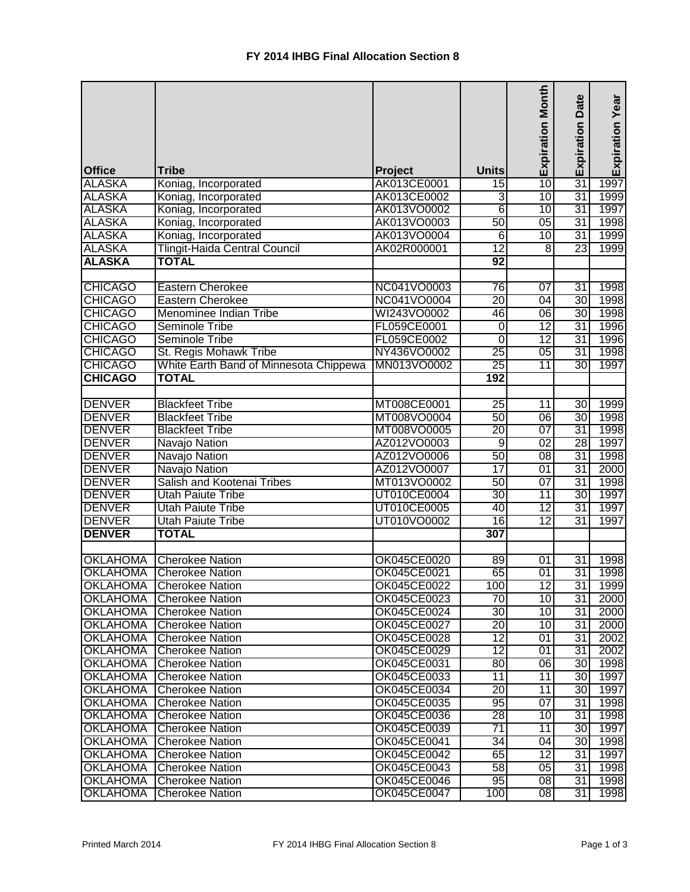|                 |                                        |             |                 | <b>Expiration Month</b> | <b>Expiration Date</b> | Expiration Year |
|-----------------|----------------------------------------|-------------|-----------------|-------------------------|------------------------|-----------------|
| <b>Office</b>   | <b>Tribe</b>                           | Project     | <b>Units</b>    |                         |                        |                 |
| <b>ALASKA</b>   | Koniag, Incorporated                   | AK013CE0001 | $\overline{15}$ | 10                      | 31                     | 1997            |
| <b>ALASKA</b>   | Koniag, Incorporated                   | AK013CE0002 | $\overline{3}$  | 10                      | $\overline{31}$        | 1999            |
| <b>ALASKA</b>   | Koniag, Incorporated                   | AK013VO0002 | 6               | 10                      | 31                     | 1997            |
| <b>ALASKA</b>   | Koniag, Incorporated                   | AK013VO0003 | 50              | 05                      | 31                     | 1998            |
| <b>ALASKA</b>   | Koniag, Incorporated                   | AK013VO0004 | 6               | 10                      | 31                     | 1999            |
| <b>ALASKA</b>   | <b>Tlingit-Haida Central Council</b>   | AK02R000001 | $\overline{12}$ | $\overline{8}$          | 23                     | 1999            |
| <b>ALASKA</b>   | <b>TOTAL</b>                           |             | 92              |                         |                        |                 |
|                 |                                        |             |                 |                         |                        |                 |
| <b>CHICAGO</b>  | Eastern Cherokee                       | NC041VO0003 | $\overline{76}$ | 07                      | $\overline{31}$        | 1998            |
| <b>CHICAGO</b>  | Eastern Cherokee                       | NC041VO0004 | 20              | 04                      | 30                     | 1998            |
| <b>CHICAGO</b>  | Menominee Indian Tribe                 | WI243VO0002 | 46              | 06                      | 30                     | 1998            |
| <b>CHICAGO</b>  | <b>Seminole Tribe</b>                  | FL059CE0001 | $\overline{0}$  | $\overline{12}$         | $\overline{31}$        | 1996            |
| <b>CHICAGO</b>  | Seminole Tribe                         | FL059CE0002 | $\overline{0}$  | $\overline{12}$         | $\overline{31}$        | 1996            |
| <b>CHICAGO</b>  | St. Regis Mohawk Tribe                 | NY436VO0002 | $\overline{25}$ | 05                      | 31                     | 1998            |
| <b>CHICAGO</b>  | White Earth Band of Minnesota Chippewa | MN013VO0002 | $\overline{25}$ | $\overline{11}$         | 30                     | 1997            |
| <b>CHICAGO</b>  | <b>TOTAL</b>                           |             | 192             |                         |                        |                 |
|                 |                                        |             |                 |                         |                        |                 |
| <b>DENVER</b>   | <b>Blackfeet Tribe</b>                 | MT008CE0001 | 25              | 11                      | 30                     | 1999            |
| <b>DENVER</b>   | <b>Blackfeet Tribe</b>                 | MT008VO0004 | 50              | 06                      | 30                     | 1998            |
| <b>DENVER</b>   | <b>Blackfeet Tribe</b>                 | MT008VO0005 | $\overline{20}$ | $\overline{07}$         | $\overline{31}$        | 1998            |
| <b>DENVER</b>   | Navajo Nation                          | AZ012VO0003 | $\overline{9}$  | $\overline{02}$         | 28                     | 1997            |
| <b>DENVER</b>   | Navajo Nation                          | AZ012VO0006 | 50              | $\overline{08}$         | 31                     | 1998            |
| <b>DENVER</b>   | Navajo Nation                          | AZ012VO0007 | $\overline{17}$ | 01                      | 31                     | 2000            |
| <b>DENVER</b>   | Salish and Kootenai Tribes             | MT013VO0002 | 50              | $\overline{07}$         | $\overline{31}$        | 1998            |
| <b>DENVER</b>   | <b>Utah Paiute Tribe</b>               | UT010CE0004 | 30              | 11                      | 30                     | 1997            |
| <b>DENVER</b>   | <b>Utah Paiute Tribe</b>               | UT010CE0005 | 40              | 12                      | 31                     | 1997            |
| <b>DENVER</b>   | <b>Utah Paiute Tribe</b>               | UT010VO0002 | 16              | $\overline{12}$         | 31                     | 1997            |
| <b>DENVER</b>   | <b>TOTAL</b>                           |             | 307             |                         |                        |                 |
|                 |                                        |             |                 |                         |                        |                 |
| <b>OKLAHOMA</b> | <b>Cherokee Nation</b>                 | OK045CE0020 | 89              | 01                      | 31                     | 1998            |
| <b>OKLAHOMA</b> | <b>Cherokee Nation</b>                 | OK045CE0021 | 65              | $\overline{01}$         | $\overline{31}$        | 1998            |
| OKLAHOMA        | <b>Cherokee Nation</b>                 | OK045CE0022 | 100             | 12                      | 31                     | 1999            |
| <b>OKLAHOMA</b> | Cherokee Nation                        | OK045CE0023 | 70              | 10                      | 31                     | 2000            |
| <b>OKLAHOMA</b> | <b>Cherokee Nation</b>                 | OK045CE0024 | 30              | 10                      | 31                     | 2000            |
| <b>OKLAHOMA</b> | Cherokee Nation                        | OK045CE0027 | $\overline{20}$ | 10                      | 31                     | 2000            |
| <b>OKLAHOMA</b> | <b>Cherokee Nation</b>                 | OK045CE0028 | 12              | 01                      | 31                     | 2002            |
| <b>OKLAHOMA</b> | <b>Cherokee Nation</b>                 | OK045CE0029 | $\overline{12}$ | 01                      | 31                     | 2002            |
| <b>OKLAHOMA</b> | <b>Cherokee Nation</b>                 | OK045CE0031 | 80              | 06                      | 30 I                   | 1998            |
| <b>OKLAHOMA</b> | <b>Cherokee Nation</b>                 | OK045CE0033 | 11              | 11                      | 30 <sub>l</sub>        | 1997            |
| OKLAHOMA        | <b>Cherokee Nation</b>                 | OK045CE0034 | 20              | $\overline{11}$         | 30                     | 1997            |
| <b>OKLAHOMA</b> | <b>Cherokee Nation</b>                 | OK045CE0035 | 95              | 07                      | 31                     | 1998            |
| <b>OKLAHOMA</b> | <b>Cherokee Nation</b>                 | OK045CE0036 | 28              | 10                      | $\overline{31}$        | 1998            |
| <b>OKLAHOMA</b> | <b>Cherokee Nation</b>                 | OK045CE0039 | 71              | 11                      | 30                     | 1997            |
| <b>OKLAHOMA</b> | <b>Cherokee Nation</b>                 | OK045CE0041 | 34              | 04                      | 30                     | 1998            |
| <b>OKLAHOMA</b> | Cherokee Nation                        | OK045CE0042 | 65              | 12                      | 31                     | 1997            |
| <b>OKLAHOMA</b> | <b>Cherokee Nation</b>                 | OK045CE0043 | 58              | 05                      | 31                     | 1998            |
| <b>OKLAHOMA</b> | <b>Cherokee Nation</b>                 | OK045CE0046 | 95              | $\overline{08}$         | 31                     | 1998            |
| OKLAHOMA        | <b>Cherokee Nation</b>                 | OK045CE0047 | 100             | $\overline{08}$         | 31                     | 1998            |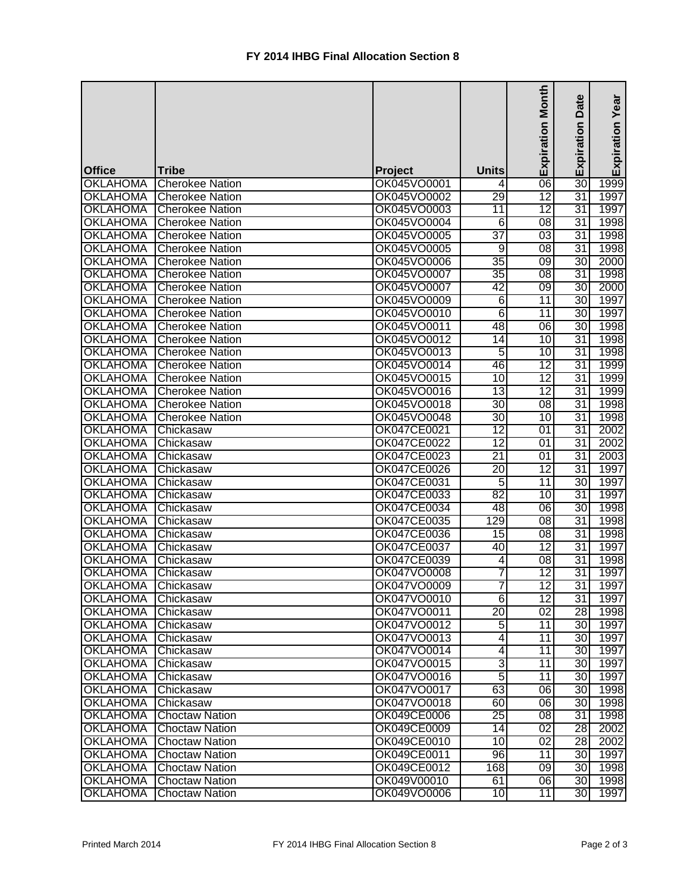|                                  |                        |                               |                 | Month           | Date            | Expiration Year |
|----------------------------------|------------------------|-------------------------------|-----------------|-----------------|-----------------|-----------------|
|                                  |                        |                               |                 | Expiration      | Expiration      |                 |
|                                  |                        |                               |                 |                 |                 |                 |
|                                  | Tribe                  |                               | <b>Units</b>    |                 |                 |                 |
| <b>Office</b><br><b>OKLAHOMA</b> | <b>Cherokee Nation</b> | <b>Project</b><br>OK045VO0001 | 4               | 06              | 30              | 1999            |
| <b>OKLAHOMA</b>                  | <b>Cherokee Nation</b> | OK045VO0002                   | 29              | $\overline{12}$ | 31              | 1997            |
| <b>OKLAHOMA</b>                  | <b>Cherokee Nation</b> | OK045VO0003                   | 11              | $\overline{12}$ | $\overline{31}$ | 1997            |
| <b>OKLAHOMA</b>                  | <b>Cherokee Nation</b> | OK045VO0004                   | $\overline{6}$  | 08              | 31              | 1998            |
| <b>OKLAHOMA</b>                  | <b>Cherokee Nation</b> | OK045VO0005                   | 37              | 03              | 31              | 1998            |
| <b>OKLAHOMA</b>                  | <b>Cherokee Nation</b> | OK045VO0005                   | $\overline{9}$  | 08              | 31              | 1998            |
| <b>OKLAHOMA</b>                  | <b>Cherokee Nation</b> | OK045VO0006                   | $\overline{35}$ | 09              | 30              | 2000            |
| <b>OKLAHOMA</b>                  | <b>Cherokee Nation</b> | OK045VO0007                   | 35              | $\overline{08}$ | 31              | 1998            |
| <b>OKLAHOMA</b>                  | <b>Cherokee Nation</b> | OK045VO0007                   | 42              | $\overline{09}$ | 30              | 2000            |
| <b>OKLAHOMA</b>                  | <b>Cherokee Nation</b> | OK045VO0009                   | $\overline{6}$  | 11              | 30 <sub>l</sub> | 1997            |
| <b>OKLAHOMA</b>                  | <b>Cherokee Nation</b> | OK045VO0010                   | 6               | 11              | 30              | 1997            |
| <b>OKLAHOMA</b>                  | <b>Cherokee Nation</b> | OK045VO0011                   | 48              | 06              | 30              | 1998            |
| <b>OKLAHOMA</b>                  | <b>Cherokee Nation</b> | OK045VO0012                   | 14              | 10              | 31              | 1998            |
| <b>OKLAHOMA</b>                  | <b>Cherokee Nation</b> | OK045VO0013                   | $\overline{5}$  | 10              | 31              | 1998            |
| <b>OKLAHOMA</b>                  | <b>Cherokee Nation</b> | OK045VO0014                   | 46              | $\overline{12}$ | 31              | 1999            |
| <b>OKLAHOMA</b>                  | <b>Cherokee Nation</b> | OK045VO0015                   | $\overline{10}$ | $\overline{12}$ | 31              | 1999            |
| <b>OKLAHOMA</b>                  | <b>Cherokee Nation</b> | OK045VO0016                   | 13              | $\overline{12}$ | 31              | 1999            |
| <b>OKLAHOMA</b>                  | <b>Cherokee Nation</b> | OK045VO0018                   | 30              | $\overline{08}$ | 31              | 1998            |
| <b>OKLAHOMA</b>                  | <b>Cherokee Nation</b> | OK045VO0048                   | 30              | 10              | 31              | 1998            |
| <b>OKLAHOMA</b>                  | Chickasaw              | OK047CE0021                   | $\overline{12}$ | 01              | $\overline{31}$ | 2002            |
| <b>OKLAHOMA</b>                  | Chickasaw              | OK047CE0022                   | $\overline{12}$ | $\overline{01}$ | $\overline{31}$ | 2002            |
| <b>OKLAHOMA</b>                  | Chickasaw              | OK047CE0023                   | $\overline{21}$ | $\overline{01}$ | $\overline{31}$ | 2003            |
| <b>OKLAHOMA</b>                  | Chickasaw              | OK047CE0026                   | $\overline{20}$ | $\overline{12}$ | 31              | 1997            |
| <b>OKLAHOMA</b>                  | Chickasaw              | OK047CE0031                   | $\overline{5}$  | 11              | $\overline{30}$ | 1997            |
| <b>OKLAHOMA</b>                  | Chickasaw              | OK047CE0033                   | 82              | 10              | 31              | 1997            |
| <b>OKLAHOMA</b>                  | Chickasaw              | OK047CE0034                   | 48              | 06              | 30              | 1998            |
| <b>OKLAHOMA</b>                  | Chickasaw              | OK047CE0035                   | 129             | 08              | 31              | 1998            |
| <b>OKLAHOMA</b>                  | Chickasaw              | OK047CE0036                   | 15              | 08              | 31              | 1998            |
| <b>OKLAHOMA</b>                  | Chickasaw              | OK047CE0037                   | 40              | $\overline{12}$ | 31              | 1997            |
| <b>OKLAHOMA</b>                  | Chickasaw              | OK047CE0039                   | $\overline{4}$  | 08              | $\overline{31}$ | 1998            |
| <b>OKLAHOMA</b>                  | Chickasaw              | OK047VO0008                   | 7               | $\overline{12}$ | $\overline{31}$ | 1997            |
| OKLAHOMA                         | Chickasaw              | OK047VO0009                   | 7               | 12              | 31              | 1997            |
| <b>OKLAHOMA</b>                  | Chickasaw              | OK047VO0010                   | $6 \mid$        | 12              | 31              | 1997            |
| <b>OKLAHOMA</b>                  | Chickasaw              | OK047VO0011                   | 20              | $\overline{02}$ | 28              | 1998            |
| <b>OKLAHOMA</b>                  | Chickasaw              | OK047VO0012                   | 5 <sub>l</sub>  | 11              | 30 <sup>2</sup> | 1997            |
| <b>OKLAHOMA</b>                  | Chickasaw              | OK047VO0013                   | 4               | 11              | 30              | 1997            |
| <b>OKLAHOMA</b>                  | Chickasaw              | OK047VO0014                   | 4               | 11              | 30 l            | 1997            |
| <b>OKLAHOMA</b>                  | Chickasaw              | OK047VO0015                   | 3               | 11              | 30 <sup>1</sup> | 1997            |
| <b>OKLAHOMA</b>                  | Chickasaw              | OK047VO0016                   | 5               | 11              | 30I             | 1997            |
| <b>OKLAHOMA</b>                  | Chickasaw              | OK047VO0017                   | 63              | 06              | 30              | 1998            |
| <b>OKLAHOMA</b>                  | Chickasaw              | OK047VO0018                   | 60              | $\overline{06}$ | 30 <sup>2</sup> | 1998            |
| <b>OKLAHOMA</b>                  | <b>Choctaw Nation</b>  | OK049CE0006                   | 25              | 08              | 31              | 1998            |
| <b>OKLAHOMA</b>                  | <b>Choctaw Nation</b>  | OK049CE0009                   | 14              | $\overline{02}$ | $\overline{28}$ | 2002            |
| <b>OKLAHOMA</b>                  | <b>Choctaw Nation</b>  | OK049CE0010                   | $\overline{10}$ | 02              | 28              | 2002            |
| <b>OKLAHOMA</b>                  | <b>Choctaw Nation</b>  | OK049CE0011                   | 96              | 11              | 30 <sub>l</sub> | 1997            |
| <b>OKLAHOMA</b>                  | <b>Choctaw Nation</b>  | OK049CE0012                   | 168             | 09              | 30 <sub>l</sub> | 1998            |
| <b>OKLAHOMA</b>                  | <b>Choctaw Nation</b>  | OK049V00010                   | 61              | $\overline{06}$ | 30 <sub>l</sub> | 1998            |
| <b>OKLAHOMA</b>                  | <b>Choctaw Nation</b>  | OK049VO0006                   | 10              | 11              | 30I             | 1997            |